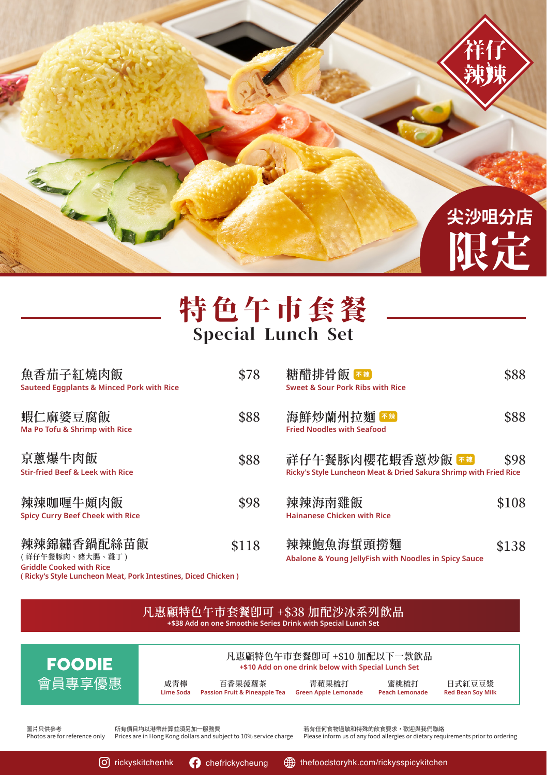

## 特色午市套餐 Special Lunch Set

| 魚香茄子紅燒肉飯<br>Sauteed Eggplants & Minced Pork with Rice            | \$78  | 糖醋排骨飯不<br><b>Sweet &amp; Sour Pork Ribs with Rice</b>                                | \$88  |
|------------------------------------------------------------------|-------|--------------------------------------------------------------------------------------|-------|
| 蝦仁麻婆豆腐飯<br>Ma Po Tofu & Shrimp with Rice                         | \$88  | 海鮮炒蘭州拉麵「**<br><b>Fried Noodles with Seafood</b>                                      | \$88  |
| 京蔥爆牛肉飯<br><b>Stir-fried Beef &amp; Leek with Rice</b>            | \$88  | 祥仔午餐豚肉櫻花蝦香蔥炒飯不熟<br>Ricky's Style Luncheon Meat & Dried Sakura Shrimp with Fried Rice | \$98  |
| 辣辣咖喱牛頗肉飯<br><b>Spicy Curry Beef Cheek with Rice</b>              | \$98  | 辣辣海南雞飯<br><b>Hainanese Chicken with Rice</b>                                         | \$108 |
| 辣辣錦繡香鍋配絲苗飯<br>(祥仔午餐豚肉、豬大腸、雞丁)<br><b>Griddle Cooked with Rice</b> | \$118 | 辣辣鮑魚海蜇頭撈麵<br>Abalone & Young JellyFish with Noodles in Spicy Sauce                   | \$138 |

**( Ricky's Style Luncheon Meat, Pork Intestines, Diced Chicken )**

## 凡惠顧特色午市套餐即可 +\$38 加配沙冰系列飲品 **+\$38 Add on one Smoothie Series Drink with Special Lunch Set**



圖片只供參考 Photos are for reference only

所有價目均以港幣計算並須另加一服務費 Prices are in Hong Kong dollars and subject to 10% service charge 若有任何食物過敏和特殊的飲食要求,歡迎與我們聯絡

Please inform us of any food allergies or dietary requirements prior to ordering